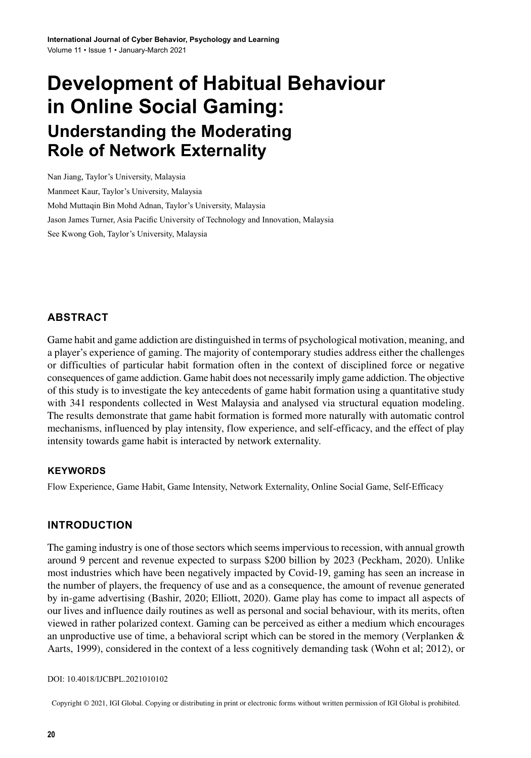# **Development of Habitual Behaviour in Online Social Gaming: Understanding the Moderating Role of Network Externality**

Nan Jiang, Taylor's University, Malaysia Manmeet Kaur, Taylor's University, Malaysia Mohd Muttaqin Bin Mohd Adnan, Taylor's University, Malaysia Jason James Turner, Asia Pacific University of Technology and Innovation, Malaysia See Kwong Goh, Taylor's University, Malaysia

# **ABSTRACT**

Game habit and game addiction are distinguished in terms of psychological motivation, meaning, and a player's experience of gaming. The majority of contemporary studies address either the challenges or difficulties of particular habit formation often in the context of disciplined force or negative consequences of game addiction. Game habit does not necessarily imply game addiction. The objective of this study is to investigate the key antecedents of game habit formation using a quantitative study with 341 respondents collected in West Malaysia and analysed via structural equation modeling. The results demonstrate that game habit formation is formed more naturally with automatic control mechanisms, influenced by play intensity, flow experience, and self-efficacy, and the effect of play intensity towards game habit is interacted by network externality.

#### **Keywords**

Flow Experience, Game Habit, Game Intensity, Network Externality, Online Social Game, Self-Efficacy

#### **INTRODUCTION**

The gaming industry is one of those sectors which seemsimperviousto recession, with annual growth around 9 percent and revenue expected to surpass \$200 billion by 2023 (Peckham, 2020). Unlike most industries which have been negatively impacted by Covid-19, gaming has seen an increase in the number of players, the frequency of use and as a consequence, the amount of revenue generated by in-game advertising (Bashir, 2020; Elliott, 2020). Game play has come to impact all aspects of our lives and influence daily routines as well as personal and social behaviour, with its merits, often viewed in rather polarized context. Gaming can be perceived as either a medium which encourages an unproductive use of time, a behavioral script which can be stored in the memory (Verplanken  $\&$ Aarts, 1999), considered in the context of a less cognitively demanding task (Wohn et al; 2012), or

#### DOI: 10.4018/IJCBPL.2021010102

Copyright © 2021, IGI Global. Copying or distributing in print or electronic forms without written permission of IGI Global is prohibited.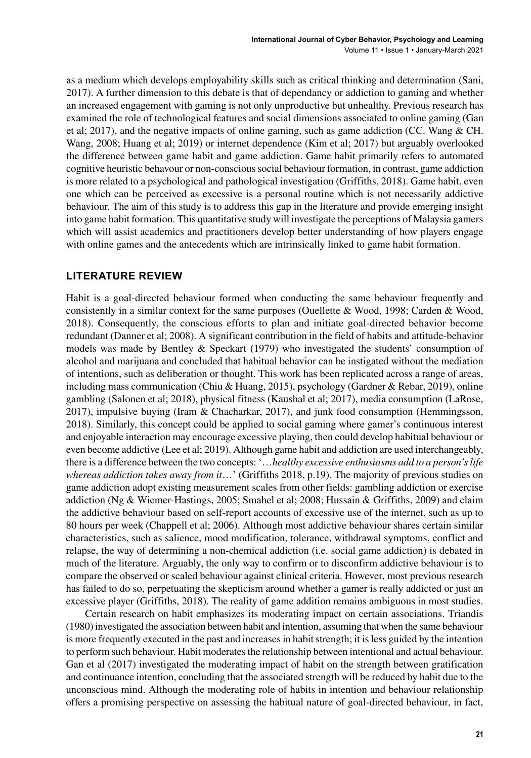as a medium which develops employability skills such as critical thinking and determination (Sani, 2017). A further dimension to this debate is that of dependancy or addiction to gaming and whether an increased engagement with gaming is not only unproductive but unhealthy. Previous research has examined the role of technological features and social dimensions associated to online gaming (Gan et al; 2017), and the negative impacts of online gaming, such as game addiction (CC. Wang & CH. Wang, 2008; Huang et al; 2019) or internet dependence (Kim et al; 2017) but arguably overlooked the difference between game habit and game addiction. Game habit primarily refers to automated cognitive heuristic behavour or non-conscioussocial behaviour formation, in contrast, game addiction is more related to a psychological and pathological investigation (Griffiths, 2018). Game habit, even one which can be perceived as excessive is a personal routine which is not necessarily addictive behaviour. The aim of this study is to address this gap in the literature and provide emerging insight into game habit formation. This quantitative study will investigate the perceptions of Malaysia gamers which will assist academics and practitioners develop better understanding of how players engage with online games and the antecedents which are intrinsically linked to game habit formation.

#### **LITERATURE REVIEW**

Habit is a goal-directed behaviour formed when conducting the same behaviour frequently and consistently in a similar context for the same purposes (Ouellette & Wood, 1998; Carden & Wood, 2018). Consequently, the conscious efforts to plan and initiate goal-directed behavior become redundant (Danner et al; 2008). A significant contribution in the field of habits and attitude-behavior models was made by Bentley & Speckart (1979) who investigated the students' consumption of alcohol and marijuana and concluded that habitual behavior can be instigated without the mediation of intentions, such as deliberation or thought. This work has been replicated across a range of areas, including mass communication (Chiu & Huang, 2015), psychology (Gardner & Rebar, 2019), online gambling (Salonen et al; 2018), physical fitness (Kaushal et al; 2017), media consumption (LaRose, 2017), impulsive buying (Iram & Chacharkar, 2017), and junk food consumption (Hemmingsson, 2018). Similarly, this concept could be applied to social gaming where gamer's continuous interest and enjoyable interaction may encourage excessive playing, then could develop habitual behaviour or even become addictive (Lee et al; 2019). Although game habit and addiction are used interchangeably, there is a difference between the two concepts: '…*healthy excessive enthusiasms add to a person's life whereas addiction takes away from it*…' (Griffiths 2018, p.19). The majority of previous studies on game addiction adopt existing measurement scales from other fields: gambling addiction or exercise addiction (Ng & Wiemer-Hastings, 2005; Smahel et al; 2008; Hussain & Griffiths, 2009) and claim the addictive behaviour based on self-report accounts of excessive use of the internet, such as up to 80 hours per week (Chappell et al; 2006). Although most addictive behaviour shares certain similar characteristics, such as salience, mood modification, tolerance, withdrawal symptoms, conflict and relapse, the way of determining a non-chemical addiction (i.e. social game addiction) is debated in much of the literature. Arguably, the only way to confirm or to disconfirm addictive behaviour is to compare the observed or scaled behaviour against clinical criteria. However, most previous research has failed to do so, perpetuating the skepticism around whether a gamer is really addicted or just an excessive player (Griffiths, 2018). The reality of game addition remains ambiguous in most studies.

Certain research on habit emphasizes its moderating impact on certain associations. Triandis (1980)investigated the association between habit and intention, assuming that when the same behaviour is more frequently executed in the past and increases in habit strength; it is less guided by the intention to perform such behaviour. Habit moderates the relationship between intentional and actual behaviour. Gan et al (2017) investigated the moderating impact of habit on the strength between gratification and continuance intention, concluding that the associated strength will be reduced by habit due to the unconscious mind. Although the moderating role of habits in intention and behaviour relationship offers a promising perspective on assessing the habitual nature of goal-directed behaviour, in fact,